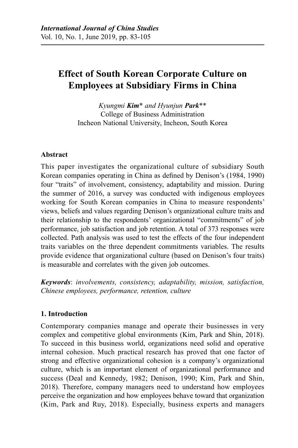# **Effect of South Korean Corporate Culture on Employees at Subsidiary Firms in China**

*Kyungmi Kim*\* *and Hyunjun Park*\*\* College of Business Administration Incheon National University, Incheon, South Korea

## **Abstract**

This paper investigates the organizational culture of subsidiary South Korean companies operating in China as defined by Denison's (1984, 1990) four "traits" of involvement, consistency, adaptability and mission. During the summer of 2016, a survey was conducted with indigenous employees working for South Korean companies in China to measure respondents' views, beliefs and values regarding Denison's organizational culture traits and their relationship to the respondents' organizational "commitments" of job performance, job satisfaction and job retention. A total of 373 responses were collected. Path analysis was used to test the effects of the four independent traits variables on the three dependent commitments variables. The results provide evidence that organizational culture (based on Denison's four traits) is measurable and correlates with the given job outcomes.

*Keywords*: *involvements, consistency, adaptability, mission, satisfaction, Chinese employees, performance, retention, culture*

### **1. Introduction**

Contemporary companies manage and operate their businesses in very complex and competitive global environments (Kim, Park and Shin, 2018). To succeed in this business world, organizations need solid and operative internal cohesion. Much practical research has proved that one factor of strong and effective organizational cohesion is a company's organizational culture, which is an important element of organizational performance and success (Deal and Kennedy, 1982; Denison, 1990; Kim, Park and Shin, 2018). Therefore, company managers need to understand how employees perceive the organization and how employees behave toward that organization (Kim, Park and Ruy, 2018). Especially, business experts and managers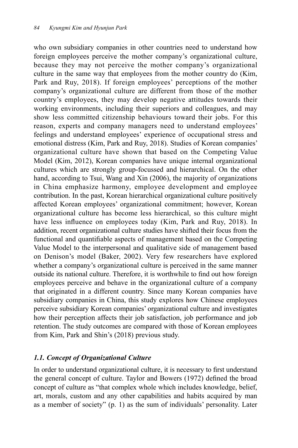who own subsidiary companies in other countries need to understand how foreign employees perceive the mother company's organizational culture, because they may not perceive the mother company's organizational culture in the same way that employees from the mother country do (Kim, Park and Ruy, 2018). If foreign employees' perceptions of the mother company's organizational culture are different from those of the mother country's employees, they may develop negative attitudes towards their working environments, including their superiors and colleagues, and may show less committed citizenship behaviours toward their jobs. For this reason, experts and company managers need to understand employees' feelings and understand employees' experience of occupational stress and emotional distress (Kim, Park and Ruy, 2018). Studies of Korean companies' organizational culture have shown that based on the Competing Value Model (Kim, 2012), Korean companies have unique internal organizational cultures which are strongly group-focussed and hierarchical. On the other hand, according to Tsui, Wang and Xin (2006), the majority of organizations in China emphasize harmony, employee development and employee contribution. In the past, Korean hierarchical organizational culture positively affected Korean employees' organizational commitment; however, Korean organizational culture has become less hierarchical, so this culture might have less influence on employees today (Kim, Park and Ruy, 2018). In addition, recent organizational culture studies have shifted their focus from the functional and quantifiable aspects of management based on the Competing Value Model to the interpersonal and qualitative side of management based on Denison's model (Baker, 2002). Very few researchers have explored whether a company's organizational culture is perceived in the same manner outside its national culture. Therefore, it is worthwhile to find out how foreign employees perceive and behave in the organizational culture of a company that originated in a different country. Since many Korean companies have subsidiary companies in China, this study explores how Chinese employees perceive subsidiary Korean companies' organizational culture and investigates how their perception affects their job satisfaction, job performance and job retention. The study outcomes are compared with those of Korean employees from Kim, Park and Shin's (2018) previous study.

### *1.1. Concept of Organizational Culture*

In order to understand organizational culture, it is necessary to first understand the general concept of culture. Taylor and Bowers (1972) defined the broad concept of culture as "that complex whole which includes knowledge, belief, art, morals, custom and any other capabilities and habits acquired by man as a member of society" (p. 1) as the sum of individuals' personality. Later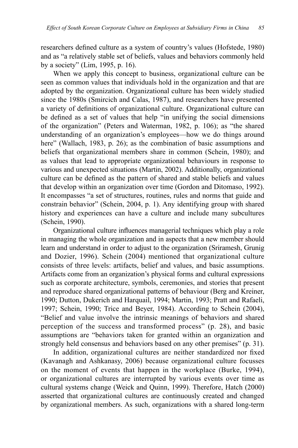researchers defined culture as a system of country's values (Hofstede, 1980) and as "a relatively stable set of beliefs, values and behaviors commonly held by a society" (Lim, 1995, p. 16).

When we apply this concept to business, organizational culture can be seen as common values that individuals hold in the organization and that are adopted by the organization. Organizational culture has been widely studied since the 1980s (Smircich and Calas, 1987), and researchers have presented a variety of definitions of organizational culture. Organizational culture can be defined as a set of values that help "in unifying the social dimensions of the organization" (Peters and Waterman, 1982, p. 106); as "the shared understanding of an organization's employees—how we do things around here" (Wallach, 1983, p. 26); as the combination of basic assumptions and beliefs that organizational members share in common (Schein, 1980); and as values that lead to appropriate organizational behaviours in response to various and unexpected situations (Martin, 2002). Additionally, organizational culture can be defined as the pattern of shared and stable beliefs and values that develop within an organization over time (Gordon and Ditomaso, 1992). It encompasses "a set of structures, routines, rules and norms that guide and constrain behavior" (Schein, 2004, p. 1). Any identifying group with shared history and experiences can have a culture and include many subcultures (Schein, 1990).

Organizational culture influences managerial techniques which play a role in managing the whole organization and in aspects that a new member should learn and understand in order to adjust to the organization (Sriramesh, Grunig and Dozier, 1996). Schein (2004) mentioned that organizational culture consists of three levels: artifacts, belief and values, and basic assumptions. Artifacts come from an organization's physical forms and cultural expressions such as corporate architecture, symbols, ceremonies, and stories that present and reproduce shared organizational patterns of behaviour (Berg and Kreiner, 1990; Dutton, Dukerich and Harquail, 1994; Martin, 1993; Pratt and Rafaeli, 1997; Schein, 1990; Trice and Beyer, 1984). According to Schein (2004), "Belief and value involve the intrinsic meanings of behaviors and shared perception of the success and transformed process" (p. 28), and basic assumptions are "behaviors taken for granted within an organization and strongly held consensus and behaviors based on any other premises" (p. 31).

In addition, organizational cultures are neither standardized nor fixed (Kavanagh and Ashkanasy, 2006) because organizational culture focusses on the moment of events that happen in the workplace (Burke, 1994), or organizational cultures are interrupted by various events over time as cultural systems change (Weick and Quinn, 1999). Therefore, Hatch (2000) asserted that organizational cultures are continuously created and changed by organizational members. As such, organizations with a shared long-term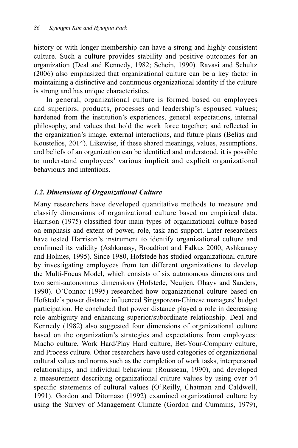history or with longer membership can have a strong and highly consistent culture. Such a culture provides stability and positive outcomes for an organization (Deal and Kennedy, 1982; Schein, 1990). Ravasi and Schultz (2006) also emphasized that organizational culture can be a key factor in maintaining a distinctive and continuous organizational identity if the culture is strong and has unique characteristics.

In general, organizational culture is formed based on employees and superiors, products, processes and leadership's espoused values; hardened from the institution's experiences, general expectations, internal philosophy, and values that hold the work force together; and reflected in the organization's image, external interactions, and future plans (Belias and Koustelios, 2014). Likewise, if these shared meanings, values, assumptions, and beliefs of an organization can be identified and understood, it is possible to understand employees' various implicit and explicit organizational behaviours and intentions.

## *1.2. Dimensions of Organizational Culture*

Many researchers have developed quantitative methods to measure and classify dimensions of organizational culture based on empirical data. Harrison (1975) classified four main types of organizational culture based on emphasis and extent of power, role, task and support. Later researchers have tested Harrison's instrument to identify organizational culture and confirmed its validity (Ashkanasy, Broadfoot and Falkus 2000; Ashkanasy and Holmes, 1995). Since 1980, Hofstede has studied organizational culture by investigating employees from ten different organizations to develop the Multi-Focus Model, which consists of six autonomous dimensions and two semi-autonomous dimensions (Hofstede, Neuijen, Ohayv and Sanders, 1990). O'Connor (1995) researched how organizational culture based on Hofstede's power distance influenced Singaporean-Chinese managers' budget participation. He concluded that power distance played a role in decreasing role ambiguity and enhancing superior/subordinate relationship. Deal and Kennedy (1982) also suggested four dimensions of organizational culture based on the organization's strategies and expectations from employees: Macho culture, Work Hard/Play Hard culture, Bet-Your-Company culture, and Process culture. Other researchers have used categories of organizational cultural values and norms such as the completion of work tasks, interpersonal relationships, and individual behaviour (Rousseau, 1990), and developed a measurement describing organizational culture values by using over 54 specific statements of cultural values (O'Reilly, Chatman and Caldwell, 1991). Gordon and Ditomaso (1992) examined organizational culture by using the Survey of Management Climate (Gordon and Cummins, 1979),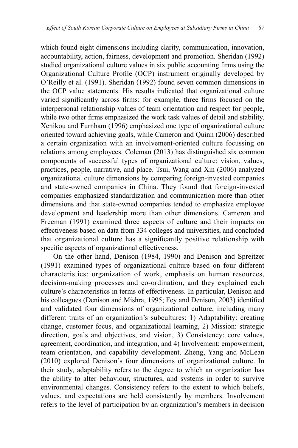which found eight dimensions including clarity, communication, innovation, accountability, action, fairness, development and promotion. Sheridan (1992) studied organizational culture values in six public accounting firms using the Organizational Culture Profile (OCP) instrument originally developed by O'Reilly et al. (1991). Sheridan (1992) found seven common dimensions in the OCP value statements. His results indicated that organizational culture varied significantly across firms: for example, three firms focused on the interpersonal relationship values of team orientation and respect for people, while two other firms emphasized the work task values of detail and stability. Xenikou and Furnham (1996) emphasized one type of organizational culture oriented toward achieving goals, while Cameron and Quinn (2006) described a certain organization with an involvement-oriented culture focussing on relations among employees. Coleman (2013) has distinguished six common components of successful types of organizational culture: vision, values, practices, people, narrative, and place. Tsui, Wang and Xin (2006) analyzed organizational culture dimensions by comparing foreign-invested companies and state-owned companies in China. They found that foreign-invested companies emphasized standardization and communication more than other dimensions and that state-owned companies tended to emphasize employee development and leadership more than other dimensions. Cameron and Freeman (1991) examined three aspects of culture and their impacts on effectiveness based on data from 334 colleges and universities, and concluded that organizational culture has a significantly positive relationship with specific aspects of organizational effectiveness.

On the other hand, Denison (1984, 1990) and Denison and Spreitzer (1991) examined types of organizational culture based on four different characteristics: organization of work, emphasis on human resources, decision-making processes and co-ordination, and they explained each culture's characteristics in terms of effectiveness. In particular, Denison and his colleagues (Denison and Mishra, 1995; Fey and Denison, 2003) identified and validated four dimensions of organizational culture, including many different traits of an organization's subcultures: 1) Adaptability: creating change, customer focus, and organizational learning, 2) Mission: strategic direction, goals and objectives, and vision, 3) Consistency: core values, agreement, coordination, and integration, and 4) Involvement: empowerment, team orientation, and capability development. Zheng, Yang and McLean (2010) explored Denison's four dimensions of organizational culture. In their study, adaptability refers to the degree to which an organization has the ability to alter behaviour, structures, and systems in order to survive environmental changes. Consistency refers to the extent to which beliefs, values, and expectations are held consistently by members. Involvement refers to the level of participation by an organization's members in decision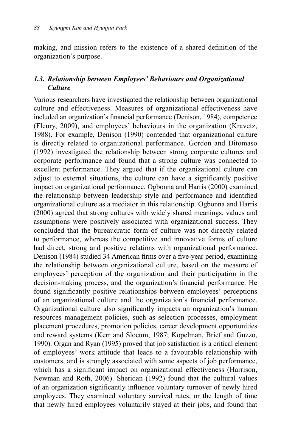making, and mission refers to the existence of a shared definition of the organization's purpose.

## *1.3. Relationship between Employees' Behaviours and Organizational Culture*

Various researchers have investigated the relationship between organizational culture and effectiveness. Measures of organizational effectiveness have included an organization's financial performance (Denison, 1984), competence (Fleury, 2009), and employees' behaviours in the organization (Kravetz, 1988). For example, Denison (1990) contended that organizational culture is directly related to organizational performance. Gordon and Ditomaso (1992) investigated the relationship between strong corporate cultures and corporate performance and found that a strong culture was connected to excellent performance. They argued that if the organizational culture can adjust to external situations, the culture can have a significantly positive impact on organizational performance. Ogbonna and Harris (2000) examined the relationship between leadership style and performance and identified organizational culture as a mediator in this relationship. Ogbonna and Harris (2000) agreed that strong cultures with widely shared meanings, values and assumptions were positively associated with organizational success. They concluded that the bureaucratic form of culture was not directly related to performance, whereas the competitive and innovative forms of culture had direct, strong and positive relations with organizational performance. Denison (1984) studied 34 American firms over a five-year period, examining the relationship between organizational culture, based on the measure of employees' perception of the organization and their participation in the decision-making process, and the organization's financial performance. He found significantly positive relationships between employees' perceptions of an organizational culture and the organization's financial performance. Organizational culture also significantly impacts an organization's human resources management policies, such as selection processes, employment placement procedures, promotion policies, career development opportunities and reward systems (Kerr and Slocum, 1987; Kopelman, Brief and Guzzo, 1990). Organ and Ryan (1995) proved that job satisfaction is a critical element of employees' work attitude that leads to a favourable relationship with customers, and is strongly associated with some aspects of job performance, which has a significant impact on organizational effectiveness (Harrison, Newman and Roth, 2006). Sheridan (1992) found that the cultural values of an organization significantly influence voluntary turnover of newly hired employees. They examined voluntary survival rates, or the length of time that newly hired employees voluntarily stayed at their jobs, and found that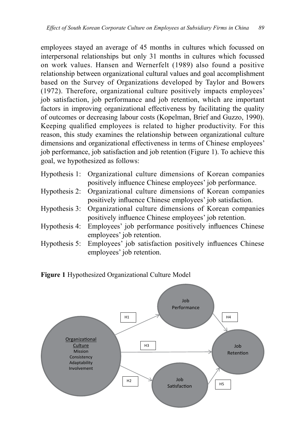employees stayed an average of 45 months in cultures which focussed on interpersonal relationships but only 31 months in cultures which focussed on work values. Hansen and Wernerfelt (1989) also found a positive relationship between organizational cultural values and goal accomplishment based on the Survey of Organizations developed by Taylor and Bowers (1972). Therefore, organizational culture positively impacts employees' job satisfaction, job performance and job retention, which are important factors in improving organizational effectiveness by facilitating the quality of outcomes or decreasing labour costs (Kopelman, Brief and Guzzo, 1990). Keeping qualified employees is related to higher productivity. For this reason, this study examines the relationship between organizational culture dimensions and organizational effectiveness in terms of Chinese employees' job performance, job satisfaction and job retention (Figure 1). To achieve this goal, we hypothesized as follows:

- Hypothesis 1: Organizational culture dimensions of Korean companies positively influence Chinese employees' job performance.
- Hypothesis 2: Organizational culture dimensions of Korean companies positively influence Chinese employees' job satisfaction.
- Hypothesis 3: Organizational culture dimensions of Korean companies positively influence Chinese employees' job retention.
- Hypothesis 4: Employees' job performance positively influences Chinese employees' job retention.
- Hypothesis 5: Employees' job satisfaction positively influences Chinese employees' job retention.

**Figure 1** Hypothesized Organizational Culture Model

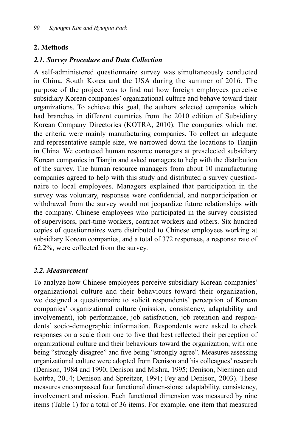## **2. Methods**

## *2.1. Survey Procedure and Data Collection*

A self-administered questionnaire survey was simultaneously conducted in China, South Korea and the USA during the summer of 2016. The purpose of the project was to find out how foreign employees perceive subsidiary Korean companies' organizational culture and behave toward their organizations. To achieve this goal, the authors selected companies which had branches in different countries from the 2010 edition of Subsidiary Korean Company Directories (KOTRA, 2010). The companies which met the criteria were mainly manufacturing companies. To collect an adequate and representative sample size, we narrowed down the locations to Tianjin in China. We contacted human resource managers at preselected subsidiary Korean companies in Tianjin and asked managers to help with the distribution of the survey. The human resource managers from about 10 manufacturing companies agreed to help with this study and distributed a survey questionnaire to local employees. Managers explained that participation in the survey was voluntary, responses were confidential, and nonparticipation or withdrawal from the survey would not jeopardize future relationships with the company. Chinese employees who participated in the survey consisted of supervisors, part-time workers, contract workers and others. Six hundred copies of questionnaires were distributed to Chinese employees working at subsidiary Korean companies, and a total of 372 responses, a response rate of 62.2%, were collected from the survey.

## *2.2. Measurement*

To analyze how Chinese employees perceive subsidiary Korean companies' organizational culture and their behaviours toward their organization, we designed a questionnaire to solicit respondents' perception of Korean companies' organizational culture (mission, consistency, adaptability and involvement), job performance, job satisfaction, job retention and respondents' socio-demographic information. Respondents were asked to check responses on a scale from one to five that best reflected their perception of organizational culture and their behaviours toward the organization, with one being "strongly disagree" and five being "strongly agree". Measures assessing organizational culture were adopted from Denison and his colleagues' research (Denison, 1984 and 1990; Denison and Mishra, 1995; Denison, Nieminen and Kotrba, 2014; Denison and Spreitzer, 1991; Fey and Denison, 2003). These measures encompassed four functional dimen-sions: adaptability, consistency, involvement and mission. Each functional dimension was measured by nine items (Table 1) for a total of 36 items. For example, one item that measured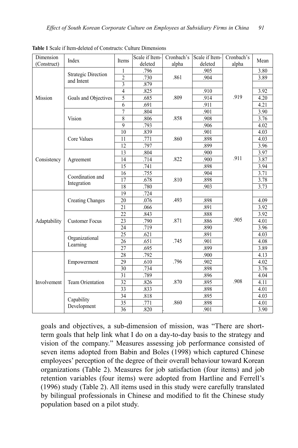| Dimension    | Index                           | Items                   | Scale if Item- | Cronbach's | Scale if Item- | Cronbach's | Mean |
|--------------|---------------------------------|-------------------------|----------------|------------|----------------|------------|------|
| (Construct)  |                                 |                         | deleted        | alpha      | deleted        | alpha      |      |
| Mission      | <b>Strategic Direction</b>      | 1                       | .796           |            | .905           |            | 3.80 |
|              | and Intent                      | $\overline{2}$          | .730           | .861       | .904           |            | 3.89 |
|              |                                 | $\overline{\mathbf{3}}$ | .879           |            |                | .919       |      |
|              |                                 | $\overline{4}$          | .825           |            | .910           |            | 3.92 |
|              | Goals and Objectives            | 5                       | .685           | .809       | .914           |            | 4.20 |
|              |                                 | 6                       | .691           |            | .911           |            | 4.21 |
|              |                                 | $\overline{7}$          | .804           |            | .901           |            | 3.90 |
|              | Vision                          | 8                       | .806           | .858       | .908           |            | 3.76 |
|              |                                 | 9                       | .793           |            | .906           |            | 4.02 |
|              |                                 | 10                      | .839           |            | .901           |            | 4.03 |
|              | <b>Core Values</b>              | 11                      | .771           | .860       | .898           |            | 4.03 |
|              |                                 | 12                      | .797           |            | .899           |            | 3.96 |
|              |                                 | 13                      | .804           |            | .900           | .911       | 3.97 |
| Consistency  | Agreement                       | 14                      | .714           | .822       | .900           |            | 3.87 |
|              |                                 | 15                      | .741           |            | .898           |            | 3.94 |
|              | Coordination and<br>Integration | 16                      | .755           |            | .904           |            | 3.71 |
|              |                                 | 17                      | .678           | .810       | .898           |            | 3.78 |
|              |                                 | 18                      | .780           |            | .903           |            | 3.73 |
|              | <b>Creating Changes</b>         | 19                      | .724           |            |                | .905       |      |
|              |                                 | 20                      | .076           | .493       | .898           |            | 4.09 |
|              |                                 | 21                      | .066           |            | .891           |            | 3.92 |
|              | <b>Customer Focus</b>           | 22                      | .843           |            | .888           |            | 3.92 |
| Adaptability |                                 | 23                      | .790           | .871       | .886           |            | 4.01 |
|              |                                 | 24                      | .719           |            | .890           |            | 3.96 |
|              | Organizational<br>Learning      | 25                      | .621           |            | .891           |            | 4.03 |
|              |                                 | 26                      | .651           | .745       | .901           |            | 4.08 |
|              |                                 | 27                      | .695           |            | .899           |            | 3.89 |
|              | Empowerment                     | 28                      | .792           |            | .900           |            | 4.13 |
| Involvement  |                                 | 29                      | .610           | .796       | .902           |            | 4.02 |
|              |                                 | 30                      | .734           |            | .898           | .908       | 3.76 |
|              | Team Orientation                | 31                      | .789           |            | .896           |            | 4.04 |
|              |                                 | 32                      | .826           | .870       | .895           |            | 4.11 |
|              |                                 | 33                      | .833           |            | .898           |            | 4.01 |
|              |                                 | 34                      | .818           |            | .895           |            | 4.03 |
|              | Capability                      | 35                      | .771           | .860       | .898           |            | 4.01 |
|              | Development                     | 36                      | .820           |            | .901           |            | 3.90 |

**Table 1** Scale if Item-deleted of Constructs: Culture Dimensions

goals and objectives, a sub-dimension of mission, was "There are shortterm goals that help link what I do on a day-to-day basis to the strategy and vision of the company." Measures assessing job performance consisted of seven items adopted from Babin and Boles (1998) which captured Chinese employees' perception of the degree of their overall behaviour toward Korean organizations (Table 2). Measures for job satisfaction (four items) and job retention variables (four items) were adopted from Hartline and Ferrell's (1996) study (Table 2). All items used in this study were carefully translated by bilingual professionals in Chinese and modified to fit the Chinese study population based on a pilot study.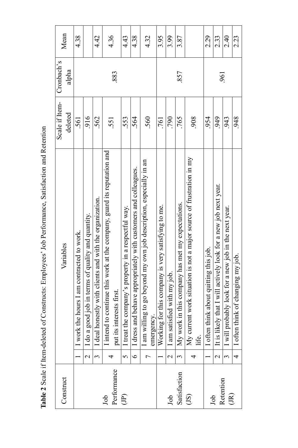Table 2 Scale if Item-deleted of Constructs: Employees' Job Performance, Satisfaction and Retention **Table 2** Scale if Item-deleted of Constructs: Employees' Job Performance, Satisfaction and Retention

| 765<br>564<br>553<br>560<br>790<br>562<br>761<br>551                                                                                                                                                                                                                                                                                                                                        | 908                                                                                                                                                         | 954                                    | 949                                                             | 943                                                  |
|---------------------------------------------------------------------------------------------------------------------------------------------------------------------------------------------------------------------------------------------------------------------------------------------------------------------------------------------------------------------------------------------|-------------------------------------------------------------------------------------------------------------------------------------------------------------|----------------------------------------|-----------------------------------------------------------------|------------------------------------------------------|
|                                                                                                                                                                                                                                                                                                                                                                                             |                                                                                                                                                             |                                        |                                                                 |                                                      |
| I am willing to go beyond my own job description, especially in an<br>I dress and behave appropriately with customers and colleagues.<br>work in this company has met my expectations.<br>Working for this company is very satisfying to me.<br>I treat the company's property in a respectful way.<br>satisfied with my job.<br>put its interests first.<br>emergency.<br>$I$ am<br>$My$ v | intend to continue this work at the company, guard its reputation and<br>current work situation is not a major source of frustration in my<br>My c<br>life. | I often think about quitting this job. | It is likely that I will actively look for a new job next year. | I will probably look for a new job in the next year. |
|                                                                                                                                                                                                                                                                                                                                                                                             |                                                                                                                                                             |                                        |                                                                 |                                                      |
|                                                                                                                                                                                                                                                                                                                                                                                             |                                                                                                                                                             |                                        |                                                                 |                                                      |
|                                                                                                                                                                                                                                                                                                                                                                                             |                                                                                                                                                             |                                        |                                                                 |                                                      |
|                                                                                                                                                                                                                                                                                                                                                                                             |                                                                                                                                                             |                                        |                                                                 |                                                      |
|                                                                                                                                                                                                                                                                                                                                                                                             |                                                                                                                                                             |                                        |                                                                 |                                                      |
|                                                                                                                                                                                                                                                                                                                                                                                             |                                                                                                                                                             |                                        |                                                                 |                                                      |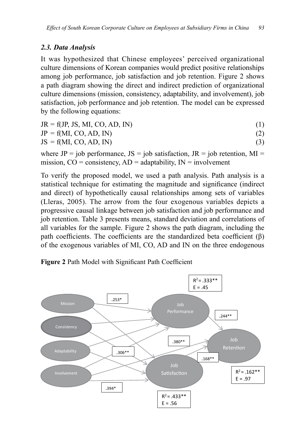## *2.3. Data Analysis*

It was hypothesized that Chinese employees' perceived organizational culture dimensions of Korean companies would predict positive relationships among job performance, job satisfaction and job retention. Figure 2 shows a path diagram showing the direct and indirect prediction of organizational culture dimensions (mission, consistency, adaptability, and involvement), job satisfaction, job performance and job retention. The model can be expressed by the following equations:

| $JR = f(JP, JS, MI, CO, AD, IN)$ |  |
|----------------------------------|--|
| $JP = f(MI, CO, AD, IN)$         |  |
| $JS = f(MI, CO, AD, IN)$         |  |

where JP = job performance, JS = job satisfaction, JR = job retention, MI = mission,  $CO = \text{consistency}$ ,  $AD = \text{adaptability}$ ,  $IN = \text{involvement}$ 

To verify the proposed model, we used a path analysis. Path analysis is a statistical technique for estimating the magnitude and significance (indirect and direct) of hypothetically causal relationships among sets of variables (Lleras, 2005). The arrow from the four exogenous variables depicts a progressive causal linkage between job satisfaction and job performance and job retention. Table 3 presents means, standard deviation and correlations of all variables for the sample. Figure 2 shows the path diagram, including the path coefficients. The coefficients are the standardized beta coefficient  $(\beta)$ of the exogenous variables of MI, CO, AD and IN on the three endogenous

**Figure 2** Path Model with Significant Path Coefficient

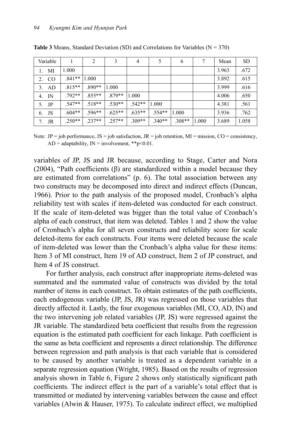| Variable          |          | $\overline{c}$ | 3        | $\overline{4}$ | 5        | 6        |       | Mean  | <b>SD</b> |
|-------------------|----------|----------------|----------|----------------|----------|----------|-------|-------|-----------|
| MI<br>$1_{-}$     | 1.000    |                |          |                |          |          |       | 3.963 | .672      |
| $_{\rm CO}$<br>2. | $.841**$ | 1.000          |          |                |          |          |       | 3.892 | .615      |
| AD<br>3.          | $.815**$ | $.890**$       | 1.000    |                |          |          |       | 3.999 | .616      |
| IN<br>4.          | .792**   | $855**$        | 879**    | 1.000          |          |          |       | 4.006 | .650      |
| 5.<br>JP          | $.547**$ | $.518**$       | $.530**$ | $.542**$       | 1.000    |          |       | 4.381 | .561      |
| JS<br>6.          | $.604**$ | $.596**$       | $.625**$ | $.635**$       | $.554**$ | 1.000    |       | 3.936 | .762      |
| JR<br>7.          | $.250**$ | $237**$        | $257**$  | $309**$        | $.340**$ | $.308**$ | 1.000 | 3.689 | 1.058     |

**Table 3** Means, Standard Deviation (SD) and Correlations for Variables ( $N = 370$ )

Note: JP = job performance, JS = job satisfaction, JR = job retention, MI = mission, CO = consistency,  $AD =$ adaptability,  $IN =$ involvement, \*\*p<0.01.

variables of JP, JS and JR because, according to Stage, Carter and Nora (2004), "Path coefficients  $(\beta)$  are standardized within a model because they are estimated from correlations" (p. 6). The total association between any two constructs may be decomposed into direct and indirect effects (Duncan, 1966). Prior to the path analysis of the proposed model, Cronbach's alpha reliability test with scales if item-deleted was conducted for each construct. If the scale of item-deleted was bigger than the total value of Cronbach's alpha of each construct, that item was deleted. Tables 1 and 2 show the value of Cronbach's alpha for all seven constructs and reliability score for scale deleted-items for each constructs. Four items were deleted because the scale of item-deleted was lower than the Cronbach's alpha value for these items: Item 3 of MI construct, Item 19 of AD construct, Item 2 of JP construct, and Item 4 of JS construct.

For further analysis, each construct after inappropriate items-deleted was summated and the summated value of constructs was divided by the total number of items in each construct. To obtain estimates of the path coefficients, each endogenous variable (JP, JS, JR) was regressed on those variables that directly affected it. Lastly, the four exogenous variables (MI, CO, AD, IN) and the two intervening job related variables (JP, JS) were regressed against the JR variable. The standardized beta coefficient that results from the regression equation is the estimated path coefficient for each linkage. Path coefficient is the same as beta coefficient and represents a direct relationship. The difference between regression and path analysis is that each variable that is considered to be caused by another variable is treated as a dependent variable in a separate regression equation (Wright, 1985). Based on the results of regression analysis shown in Table 6, Figure 2 shows only statistically significant path coefficients. The indirect effect is the part of a variable's total effect that is transmitted or mediated by intervening variables between the cause and effect variables (Alwin & Hauser, 1975). To calculate indirect effect, we multiplied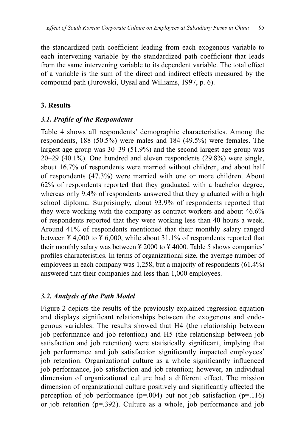the standardized path coefficient leading from each exogenous variable to each intervening variable by the standardized path coefficient that leads from the same intervening variable to its dependent variable. The total effect of a variable is the sum of the direct and indirect effects measured by the compound path (Jurowski, Uysal and Williams, 1997, p. 6).

## **3. Results**

### *3.1. Profile of the Respondents*

Table 4 shows all respondents' demographic characteristics. Among the respondents, 188 (50.5%) were males and 184 (49.5%) were females. The largest age group was 30–39 (51.9%) and the second largest age group was 20–29 (40.1%). One hundred and eleven respondents (29.8%) were single, about 16.7% of respondents were married without children, and about half of respondents (47.3%) were married with one or more children. About 62% of respondents reported that they graduated with a bachelor degree, whereas only 9.4% of respondents answered that they graduated with a high school diploma. Surprisingly, about 93.9% of respondents reported that they were working with the company as contract workers and about 46.6% of respondents reported that they were working less than 40 hours a week. Around 41% of respondents mentioned that their monthly salary ranged between  $\frac{1}{4}$  4,000 to  $\frac{1}{4}$  6,000, while about 31.1% of respondents reported that their monthly salary was between  $\frac{1}{2000}$  to  $\frac{1}{2000}$ . Table 5 shows companies' profiles characteristics. In terms of organizational size, the average number of employees in each company was 1,258, but a majority of respondents (61.4%) answered that their companies had less than 1,000 employees.

## *3.2. Analysis of the Path Model*

Figure 2 depicts the results of the previously explained regression equation and displays significant relationships between the exogenous and endogenous variables. The results showed that H4 (the relationship between job performance and job retention) and H5 (the relationship between job satisfaction and job retention) were statistically significant, implying that job performance and job satisfaction significantly impacted employees' job retention. Organizational culture as a whole significantly influenced job performance, job satisfaction and job retention; however, an individual dimension of organizational culture had a different effect. The mission dimension of organizational culture positively and significantly affected the perception of job performance ( $p=0.004$ ) but not job satisfaction ( $p=116$ ) or job retention (p=.392). Culture as a whole, job performance and job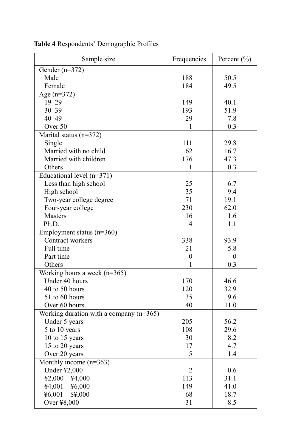| Sample size                               | Frequencies    | Percent $(\% )$ |
|-------------------------------------------|----------------|-----------------|
| Gender $(n=372)$                          |                |                 |
| Male                                      | 188            | 50.5            |
| Female                                    | 184            | 49.5            |
| Age $(n=372)$                             |                |                 |
| $19 - 29$                                 | 149            | 40.1            |
| $30 - 39$                                 | 193            | 51.9            |
| $40 - 49$                                 | 29             | 7.8             |
| Over 50                                   | 1              | 0.3             |
| Marital status (n=372)                    |                |                 |
| Single                                    | 111            | 29.8            |
| Married with no child                     | 62             | 16.7            |
| Married with children                     | 176            | 47.3            |
| Others                                    | 1              | 0.3             |
| Educational level (n=371)                 |                |                 |
| Less than high school                     | 25             | 6.7             |
| High school                               | 35             | 9.4             |
| Two-year college degree                   | 71             | 19.1            |
| Four-year college                         | 230            | 62.0            |
| Masters                                   | 16             | 1.6             |
| Ph.D.                                     | 4              | 1.1             |
| Employment status (n=360)                 |                |                 |
| Contract workers                          | 338            | 93.9            |
| Full time                                 | 21             | 5.8             |
| Part time                                 | $\mathbf{0}$   | $\theta$        |
| Others                                    | 1              | 0.3             |
| Working hours a week $(n=365)$            |                |                 |
| Under 40 hours                            | 170            | 46.6            |
| 40 to 50 hours                            | 120            | 32.9            |
| 51 to 60 hours                            | 35             | 9.6             |
| Over 60 hours                             | 40             | 11.0            |
| Working duration with a company $(n=365)$ |                |                 |
| Under 5 years                             | 205            | 56.2            |
| 5 to 10 years                             | 108            | 29.6            |
|                                           | 30             | 8.2             |
| 10 to 15 years                            |                |                 |
| 15 to 20 years                            | 17             | 4.7             |
| Over 20 years                             | 5              | 1.4             |
| Monthly income $(n=363)$                  |                |                 |
| Under ¥2,000                              | $\overline{2}$ | 0.6             |
| $42,000 - 44,000$                         | 113            | 31.1            |
| $44,001 - 46,000$                         | 149            | 41.0            |
| $46,001 - $4,000$                         | 68             | 18.7            |
| Over ¥8,000                               | 31             | 8.5             |

**Table 4** Respondents' Demographic Profiles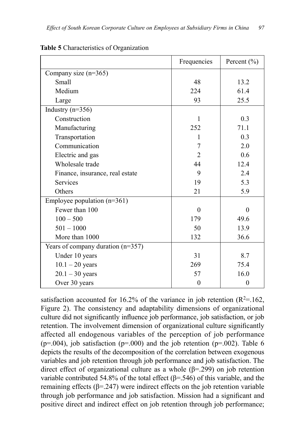|                                     | Frequencies      | Percent (%) |
|-------------------------------------|------------------|-------------|
| Company size $(n=365)$              |                  |             |
| Small                               | 48               | 13.2        |
| Medium                              | 224              | 61.4        |
| Large                               | 93               | 25.5        |
| Industry $(n=356)$                  |                  |             |
| Construction                        | 1                | 0.3         |
| Manufacturing                       | 252              | 71.1        |
| Transportation                      | 1                | 0.3         |
| Communication                       | 7                | 2.0         |
| Electric and gas                    | 2                | 0.6         |
| Wholesale trade                     | 44               | 12.4        |
| Finance, insurance, real estate     | 9                | 2.4         |
| <b>Services</b>                     | 19               | 5.3         |
| Others                              | 21               | 5.9         |
| Employee population $(n=361)$       |                  |             |
| Fewer than 100                      | $\theta$         | $\Omega$    |
| $100 - 500$                         | 179              | 49.6        |
| $501 - 1000$                        | 50               | 13.9        |
| More than 1000                      | 132              | 36.6        |
| Years of company duration $(n=357)$ |                  |             |
| Under 10 years                      | 31               | 8.7         |
| $10.1 - 20$ years                   | 269              | 75.4        |
| $20.1 - 30$ years                   | 57               | 16.0        |
| Over 30 years                       | $\boldsymbol{0}$ | $\theta$    |

**Table 5** Characteristics of Organization

satisfaction accounted for 16.2% of the variance in job retention  $(R^2=162)$ , Figure 2). The consistency and adaptability dimensions of organizational culture did not significantly influence job performance, job satisfaction, or job retention. The involvement dimension of organizational culture significantly affected all endogenous variables of the perception of job performance ( $p=0.004$ ), job satisfaction ( $p=0.000$ ) and the job retention ( $p=0.002$ ). Table 6 depicts the results of the decomposition of the correlation between exogenous variables and job retention through job performance and job satisfaction. The direct effect of organizational culture as a whole (β=.299) on job retention variable contributed 54.8% of the total effect (β=.546) of this variable, and the remaining effects  $(\beta = 247)$  were indirect effects on the job retention variable through job performance and job satisfaction. Mission had a significant and positive direct and indirect effect on job retention through job performance;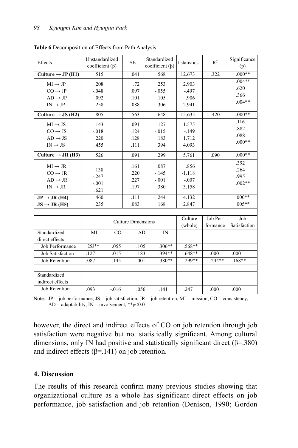| Effects                       | Unstandardized<br>coefficient $(\beta)$ |             | <b>SE</b>                 | Standardized<br>coefficient $(\beta)$ |          | t-statistics   | $R^2$    | Significance<br>(p) |
|-------------------------------|-----------------------------------------|-------------|---------------------------|---------------------------------------|----------|----------------|----------|---------------------|
| Culture $\rightarrow$ JP (H1) | .515                                    |             | .041                      |                                       | .568     | 12.673         | .322     | $.000**$            |
| $MI \rightarrow JP$           | .208                                    |             | .72                       |                                       | .253     | 2.903          |          | $.004**$            |
| $CO \rightarrow JP$           | $-.048$                                 |             | .097                      |                                       | $-0.055$ | $-497$         |          | .620                |
| $AD \rightarrow JP$           | .092                                    |             | .101                      |                                       | .105     | .906           |          | .366                |
| $IN \rightarrow IP$           | .258                                    |             | .088                      |                                       | .306     | 2.941          |          | $.004**$            |
| Culture $\rightarrow$ JS (H2) | .805                                    |             | .563                      |                                       | .648     | 15.635<br>.420 |          | $.000**$            |
| $MI \rightarrow JS$           | .143                                    |             | .091                      |                                       | .127     | 1.575          |          | .116                |
| $CO \rightarrow JS$           | $-0.018$                                |             | .124                      |                                       | $-0.015$ | $-149$         |          | .882                |
| $AD \rightarrow JS$           | .220                                    |             | .128                      |                                       | .183     | 1.712          |          | .088                |
| $IN \rightarrow JS$           | .455                                    |             | .111                      |                                       | .394     | 4.093          |          | $.000**$            |
| Culture $\rightarrow$ JR (H3) | .526                                    |             | .091                      |                                       | .299     | 5.761          | .090     | $.000**$            |
| $MI \rightarrow JR$           |                                         |             | .161                      |                                       | .087     | .856           |          | .392                |
| $CO \rightarrow JR$           | .138                                    |             | .220                      |                                       | $-145$   | $-1.118$       |          | .264                |
| $AD \rightarrow JR$           | $-.247$                                 |             | .227                      |                                       | $-.001$  | $-.007$        |          | .995                |
| $IN \rightarrow JR$           | $-.001$                                 |             | .197                      |                                       | .380     | 3.158          |          | $.002**$            |
|                               | .621                                    |             |                           |                                       | .244     |                |          | $.000**$            |
| $JP \rightarrow JR (H4)$      | .460                                    |             | .111                      |                                       |          | 4.132          |          |                     |
| $JS \rightarrow JR (H5)$      | .235                                    |             | .083                      |                                       | .168     | 2.847          |          | $.005**$            |
|                               |                                         |             |                           |                                       |          | Culture        | Job Per- | Job                 |
|                               |                                         |             | <b>Culture Dimensions</b> |                                       |          | (whole)        | formance | Satisfaction        |
| Standardized                  | MI                                      | $_{\rm CO}$ | AD                        |                                       | IN       |                |          |                     |
| direct effects                |                                         |             |                           |                                       |          |                |          |                     |
| Job Performance               | $253**$                                 | .055        | .105                      |                                       | $.306**$ | .568**         |          |                     |
| <b>Job Satisfaction</b>       | .127<br>.015                            |             | .183                      |                                       | $.394**$ | $.648**$       | .000     | .000                |
| Job Retention                 | .087<br>$-.145$                         |             | $-.001$                   |                                       | $.380**$ | .299**         | $.244**$ | $.168**$            |
|                               |                                         |             |                           |                                       |          |                |          |                     |
| Standardized                  |                                         |             |                           |                                       |          |                |          |                     |
| indirect effects              |                                         |             |                           |                                       |          |                |          |                     |
| <b>Job Retention</b>          | .093                                    | $-0.016$    | .056                      |                                       | .141     | .247           | .000     | .000                |
|                               |                                         |             |                           |                                       |          |                |          |                     |

**Table 6** Decomposition of Effects from Path Analysis

Note: JP = job performance, JS = job satisfaction, JR = job retention, MI = mission, CO = consistency,  $AD = adaptability$ ,  $IN = involvement$ , \*\*p<0.01.

however, the direct and indirect effects of CO on job retention through job satisfaction were negative but not statistically significant. Among cultural dimensions, only IN had positive and statistically significant direct ( $\beta$ =.380) and indirect effects  $(\beta = .141)$  on job retention.

### **4. Discussion**

The results of this research confirm many previous studies showing that organizational culture as a whole has significant direct effects on job performance, job satisfaction and job retention (Denison, 1990; Gordon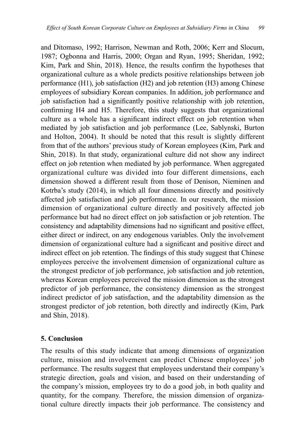and Ditomaso, 1992; Harrison, Newman and Roth, 2006; Kerr and Slocum, 1987; Ogbonna and Harris, 2000; Organ and Ryan, 1995; Sheridan, 1992; Kim, Park and Shin, 2018). Hence, the results confirm the hypotheses that organizational culture as a whole predicts positive relationships between job performance (H1), job satisfaction (H2) and job retention (H3) among Chinese employees of subsidiary Korean companies. In addition, job performance and job satisfaction had a significantly positive relationship with job retention, confirming H4 and H5. Therefore, this study suggests that organizational culture as a whole has a significant indirect effect on job retention when mediated by job satisfaction and job performance (Lee, Sablynski, Burton and Holton, 2004). It should be noted that this result is slightly different from that of the authors' previous study of Korean employees (Kim, Park and Shin, 2018). In that study, organizational culture did not show any indirect effect on job retention when mediated by job performance. When aggregated organizational culture was divided into four different dimensions, each dimension showed a different result from those of Denison, Nieminen and Kotrba's study (2014), in which all four dimensions directly and positively affected job satisfaction and job performance. In our research, the mission dimension of organizational culture directly and positively affected job performance but had no direct effect on job satisfaction or job retention. The consistency and adaptability dimensions had no significant and positive effect, either direct or indirect, on any endogenous variables. Only the involvement dimension of organizational culture had a significant and positive direct and indirect effect on job retention. The findings of this study suggest that Chinese employees perceive the involvement dimension of organizational culture as the strongest predictor of job performance, job satisfaction and job retention, whereas Korean employees perceived the mission dimension as the strongest predictor of job performance, the consistency dimension as the strongest indirect predictor of job satisfaction, and the adaptability dimension as the strongest predictor of job retention, both directly and indirectly (Kim, Park and Shin, 2018).

### **5. Conclusion**

The results of this study indicate that among dimensions of organization culture, mission and involvement can predict Chinese employees' job performance. The results suggest that employees understand their company's strategic direction, goals and vision, and based on their understanding of the company's mission, employees try to do a good job, in both quality and quantity, for the company. Therefore, the mission dimension of organizational culture directly impacts their job performance. The consistency and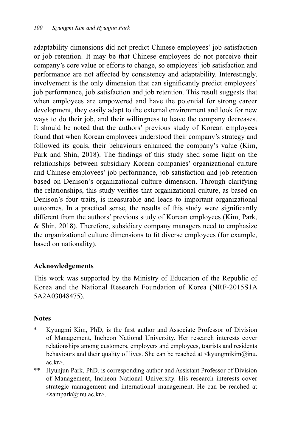adaptability dimensions did not predict Chinese employees' job satisfaction or job retention. It may be that Chinese employees do not perceive their company's core value or efforts to change, so employees' job satisfaction and performance are not affected by consistency and adaptability. Interestingly, involvement is the only dimension that can significantly predict employees' job performance, job satisfaction and job retention. This result suggests that when employees are empowered and have the potential for strong career development, they easily adapt to the external environment and look for new ways to do their job, and their willingness to leave the company decreases. It should be noted that the authors' previous study of Korean employees found that when Korean employees understood their company's strategy and followed its goals, their behaviours enhanced the company's value (Kim, Park and Shin, 2018). The findings of this study shed some light on the relationships between subsidiary Korean companies' organizational culture and Chinese employees' job performance, job satisfaction and job retention based on Denison's organizational culture dimension. Through clarifying the relationships, this study verifies that organizational culture, as based on Denison's four traits, is measurable and leads to important organizational outcomes. In a practical sense, the results of this study were significantly different from the authors' previous study of Korean employees (Kim, Park, & Shin, 2018). Therefore, subsidiary company managers need to emphasize the organizational culture dimensions to fit diverse employees (for example, based on nationality).

### **Acknowledgements**

This work was supported by the Ministry of Education of the Republic of Korea and the National Research Foundation of Korea (NRF-2015S1A 5A2A03048475).

## **Notes**

- Kyungmi Kim, PhD, is the first author and Associate Professor of Division of Management, Incheon National University. Her research interests cover relationships among customers, employers and employees, tourists and residents behaviours and their quality of lives. She can be reached at  $\langle \text{kyungmikim}(\hat{a})$ inu. ac.kr>.
- \*\* Hyunjun Park, PhD, is corresponding author and Assistant Professor of Division of Management, Incheon National University. His research interests cover strategic management and international management. He can be reached at <sampark@inu.ac.kr>.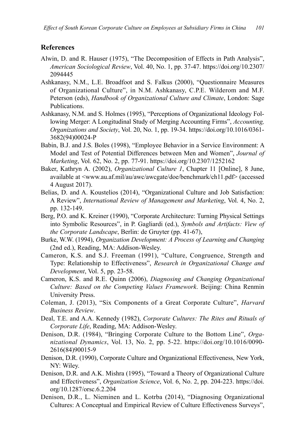#### **References**

- Alwin, D. and R. Hauser (1975), "The Decomposition of Effects in Path Analysis", *American Sociological Review*, Vol. 40, No. 1, pp. 37-47. https://doi.org/10.2307/ 2094445
- Ashkanasy, N.M., L.E. Broadfoot and S. Falkus (2000), "Questionnaire Measures of Organizational Culture", in N.M. Ashkanasy, C.P.E. Wilderom and M.F. Peterson (eds), *Handbook of Organizational Culture and Climate*, London: Sage Publications.
- Ashkanasy, N.M. and S. Holmes (1995), "Perceptions of Organizational Ideology Following Merger: A Longitudinal Study of Merging Accounting Firms", *Accounting, Organizations and Society*, Vol. 20, No. 1, pp. 19-34. https://doi.org/10.1016/0361- 3682(94)00024-P
- Babin, B.J. and J.S. Boles (1998), "Employee Behavior in a Service Environment: A Model and Test of Potential Differences between Men and Women", *Journal of Marketing*, Vol. 62, No. 2, pp. 77-91. https://doi.org/10.2307/1252162
- Baker, Kathryn A. (2002), *Organizational Culture 1*, Chapter 11 [Online], 8 June, available at <www.au.af.mil/au/awc/awcgate/doe/benchmark/ch11.pdf> (accessed 4 August 2017).
- Belias, D. and A. Koustelios (2014), "Organizational Culture and Job Satisfaction: A Review", *International Review of Management and Marketing*, Vol. 4, No. 2, pp. 132-149.
- Berg, P.O. and K. Kreiner (1990), "Corporate Architecture: Turning Physical Settings into Symbolic Resources", in P. Gagliardi (ed.), *Symbols and Artifacts: View of the Corporate Landscape*, Berlin: de Gruyter (pp. 41-67),
- Burke, W.W. (1994), *Organization Development: A Process of Learning and Changing*  (2nd ed.), Reading, MA: Addison-Wesley.
- Cameron, K.S. and S.J. Freeman (1991), "Culture, Congruence, Strength and Type: Relationship to Effectiveness", *Research in Organizational Change and Development*, Vol. 5, pp. 23-58.
- Cameron, K.S. and R.E. Quinn (2006), *Diagnosing and Changing Organizational Culture: Based on the Competing Values Framework*. Beijing: China Renmin University Press.
- Coleman, J. (2013), "Six Components of a Great Corporate Culture", *Harvard Business Review*.
- Deal, T.E. and A.A. Kennedy (1982), *Corporate Cultures: The Rites and Rituals of Corporate Life*, Reading, MA: Addison-Wesley.
- Denison, D.R. (1984), "Bringing Corporate Culture to the Bottom Line", *Organizational Dynamics*, Vol. 13, No. 2, pp. 5-22. https://doi.org/10.1016/0090- 2616(84)90015-9
- Denison, D.R. (1990), Corporate Culture and Organizational Effectiveness, New York, NY: Wiley.
- Denison, D.R. and A.K. Mishra (1995), "Toward a Theory of Organizational Culture and Effectiveness", *Organization Science*, Vol. 6, No. 2, pp. 204-223. https://doi. org/10.1287/orsc.6.2.204
- Denison, D.R., L. Nieminen and L. Kotrba (2014), "Diagnosing Organizational Cultures: A Conceptual and Empirical Review of Culture Effectiveness Surveys",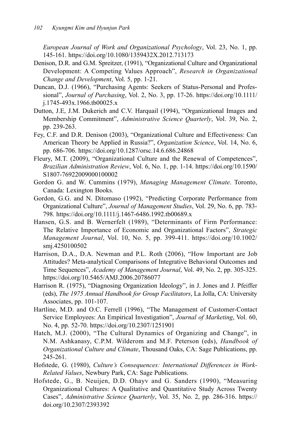*European Journal of Work and Organizational Psychology*, Vol. 23, No. 1, pp. 145-161. https://doi.org/10.1080/1359432X.2012.713173

- Denison, D.R. and G.M. Spreitzer, (1991), "Organizational Culture and Organizational Development: A Competing Values Approach", *Research in Organizational Change and Development*, Vol. 5, pp. 1-21.
- Duncan, D.J. (1966), "Purchasing Agents: Seekers of Status-Personal and Professional", *Journal of Purchasing*, Vol. 2, No. 3, pp. 17-26. https://doi.org/10.1111/ j.1745-493x.1966.tb00025.x
- Dutton, J.E, J.M. Dukerich and C.V. Harquail (1994), "Organizational Images and Membership Commitment", *Administrative Science Quarterly*, Vol. 39, No. 2, pp. 239-263.
- Fey, C.F. and D.R. Denison (2003), "Organizational Culture and Effectiveness: Can American Theory be Applied in Russia?", *Organization Science*, Vol. 14, No. 6, pp. 686-706. https://doi.org/10.1287/orsc.14.6.686.24868
- Fleury, M.T. (2009), "Organizational Culture and the Renewal of Competences", *Brazilian Administration Review*, Vol. 6, No. 1, pp. 1-14. https://doi.org/10.1590/ S1807-76922009000100002
- Gordon G. and W. Cummins (1979), *Managing Management Climate*. Toronto, Canada: Lexington Books.
- Gordon, G.G. and N. Ditomaso (1992), "Predicting Corporate Performance from Organizational Culture", *Journal of Management Studies*, Vol. 29, No. 6, pp. 783- 798. https://doi.org/10.1111/j.1467-6486.1992.tb00689.x
- Hansen, G.S. and B. Wernerfelt (1989), "Determinants of Firm Performance: The Relative Importance of Economic and Organizational Factors", *Strategic Management Journal*, Vol. 10, No. 5, pp. 399-411. https://doi.org/10.1002/ smj.4250100502
- Harrison, D.A., D.A. Newman and P.L. Roth (2006), "How Important are Job Attitudes? Meta-analytical Comparisons of Integrative Behavioral Outcomes and Time Sequences", *Academy of Management Journal*, Vol. 49, No. 2, pp. 305-325. https://doi.org/10.5465/AMJ.2006.20786077
- Harrison R. (1975), "Diagnosing Organization Ideology", in J. Jones and J. Pfeiffer (eds), *The 1975 Annual Handbook for Group Facilitators*, La Jolla, CA: University Associates, pp. 101-107.
- Hartline, M.D. and O.C. Ferrell (1996), "The Management of Customer-Contact Service Employees: An Empirical Investigation", *Journal of Marketing*, Vol. 60, No. 4, pp. 52-70. https://doi.org/10.2307/1251901
- Hatch, M.J. (2000), "The Cultural Dynamics of Organizing and Change", in N.M. Ashkanasy, C.P.M. Wilderom and M.F. Peterson (eds), *Handbook of Organizational Culture and Climate*, Thousand Oaks, CA: Sage Publications, pp. 245-261.
- Hofstede, G. (1980), *Culture's Consequences: International Differences in Work-Related Values*, Newbury Park, CA: Sage Publications.
- Hofstede, G., B. Neuijen, D.D. Ohayv and G. Sanders (1990), "Measuring Organizational Cultures: A Qualitative and Quantitative Study Across Twenty Cases", *Administrative Science Quarterly*, Vol. 35, No. 2, pp. 286-316. https:// doi.org/10.2307/2393392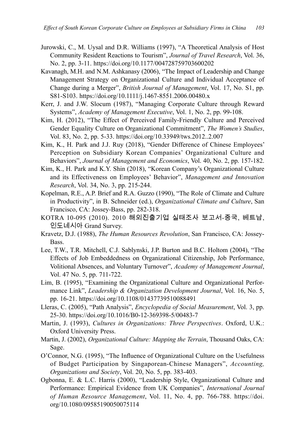- Jurowski, C., M. Uysal and D.R. Williams (1997), "A Theoretical Analysis of Host Community Resident Reactions to Tourism", *Journal of Travel Research*, Vol. 36, No. 2, pp. 3-11. https://doi.org/10.1177/004728759703600202
- Kavanagh, M.H. and N.M. Ashkanasy (2006), "The Impact of Leadership and Change Management Strategy on Organizational Culture and Individual Acceptance of Change during a Merger", *British Journal of Management*, Vol. 17, No. S1, pp. S81-S103. https://doi.org/10.1111/j.1467-8551.2006.00480.x
- Kerr, J. and J.W. Slocum (1987), "Managing Corporate Culture through Reward Systems", *Academy of Management Executive*, Vol. 1, No. 2, pp. 99-108.
- Kim, H. (2012), "The Effect of Perceived Family-Friendly Culture and Perceived Gender Equality Culture on Organizational Commitment", *The Women's Studies*, Vol. 83, No. 2, pp. 5-33. https://doi.org/10.33949/tws.2012..2.007
- Kim, K., H. Park and J.J. Ruy (2018), "Gender Difference of Chinese Employees' Perception on Subsidiary Korean Companies' Organizational Culture and Behaviors", *Journal of Management and Economics*, Vol. 40, No. 2, pp. 157-182.
- Kim, K., H. Park and K.Y. Shin (2018), "Korean Company's Organizational Culture and its Effectiveness on Employees' Behavior", *Management and Innovation Research*, Vol. 34, No. 3, pp. 215-244.
- Kopelman, R.E., A.P. Brief and R.A. Guzzo (1990), "The Role of Climate and Culture in Productivity", in B. Schneider (ed.), *Organizational Climate and Culture*, San Francisco, CA: Jossey-Bass, pp. 282-318.
- KOTRA 10-095 (2010). 2010 해외진출기업 실태조사 보고서-중국, 베트남, 인도네시아 Grand Survey.
- Kravetz, D.J. (1988), *The Human Resources Revolution*, San Francisco, CA: Jossey-Bass.
- Lee, T.W., T.R. Mitchell, C.J. Sablynski, J.P. Burton and B.C. Holtom (2004), "The Effects of Job Embeddedness on Organizational Citizenship, Job Performance, Volitional Absences, and Voluntary Turnover", *Academy of Management Journal*, Vol. 47 No. 5, pp. 711-722.
- Lim, B. (1995), "Examining the Organizational Culture and Organizational Performance Link", *Leadership & Organization Development Journal*, Vol. 16, No. 5, pp. 16-21. https://doi.org/10.1108/01437739510088491
- Lleras, C. (2005), "Path Analysis", *Encyclopedia of Social Measurement*, Vol. 3, pp. 25-30. https://doi.org/10.1016/B0-12-369398-5/00483-7
- Martin, J. (1993), *Cultures in Organizations: Three Perspectives*. Oxford, U.K.: Oxford University Press.
- Martin, J. (2002), *Organizational Culture: Mapping the Terrain*, Thousand Oaks, CA: Sage.
- O'Connor, N.G. (1995), "The Influence of Organizational Culture on the Usefulness of Budget Participation by Singaporean-Chinese Managers", *Accounting, Organizations and Society*, Vol. 20, No. 5, pp. 383-403.
- Ogbonna, E. & L.C. Harris (2000), "Leadership Style, Organizational Culture and Performance: Empirical Evidence from UK Companies", *International Journal of Human Resource Management*, Vol. 11, No. 4, pp. 766-788. https://doi. org/10.1080/09585190050075114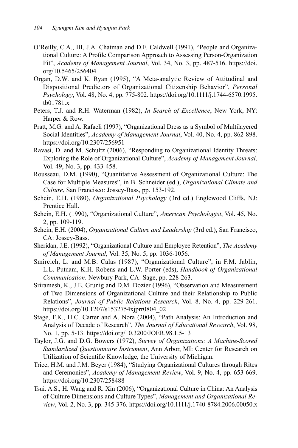- O'Reilly, C.A., III, J.A. Chatman and D.F. Caldwell (1991), "People and Organizational Culture: A Profile Comparison Approach to Assessing Person-Organization Fit", *Academy of Management Journal*, Vol. 34, No. 3, pp. 487-516. https://doi. org/10.5465/256404
- Organ, D.W. and K. Ryan (1995), "A Meta-analytic Review of Attitudinal and Dispositional Predictors of Organizational Citizenship Behavior", *Personal Psychology*, Vol. 48, No. 4, pp. 775-802. https://doi.org/10.1111/j.1744-6570.1995. tb01781.x
- Peters, T.J. and R.H. Waterman (1982), *In Search of Excellence*, New York, NY: Harper & Row.
- Pratt, M.G. and A. Rafaeli (1997), "Organizational Dress as a Symbol of Multilayered Social Identities", *Academy of Management Journal*, Vol. 40, No. 4, pp. 862-898. https://doi.org/10.2307/256951
- Ravasi, D. and M. Schultz (2006), "Responding to Organizational Identity Threats: Exploring the Role of Organizational Culture", *Academy of Management Journal*, Vol. 49, No. 3, pp. 433-458.
- Rousseau, D.M. (1990), "Quantitative Assessment of Organizational Culture: The Case for Multiple Measures", in B. Schneider (ed.), *Organizational Climate and Culture*, San Francisco: Jossey-Bass, pp. 153-192.
- Schein, E.H. (1980), *Organizational Psychology* (3rd ed.) Englewood Cliffs, NJ: Prentice Hall.
- Schein, E.H. (1990), "Organizational Culture", *American Psychologist*, Vol. 45, No. 2, pp. 109-119.
- Schein, E.H. (2004), *Organizational Culture and Leadership* (3rd ed.), San Francisco, CA: Jossey-Bass.
- Sheridan, J.E. (1992), "Organizational Culture and Employee Retention", *The Academy of Management Journal*, Vol. 35, No. 5, pp. 1036-1056.
- Smircich, L. and M.B. Calas (1987), "Organizational Culture", in F.M. Jablin, L.L. Putnam, K.H. Robens and L.W. Porter (eds), *Handbook of Organizational Communication*. Newbury Park, CA: Sage, pp. 228-263.
- Sriramesh, K., J.E. Grunig and D.M. Dozier (1996), "Observation and Measurement of Two Dimensions of Organizational Culture and their Relationship to Public Relations", *Journal of Public Relations Research*, Vol. 8, No. 4, pp. 229-261. https://doi.org/10.1207/s1532754xjprr0804\_02
- Stage, F.K., H.C. Carter and A. Nora (2004), "Path Analysis: An Introduction and Analysis of Decade of Research", *The Journal of Educational Research*, Vol. 98, No. 1, pp. 5-13. https://doi.org/10.3200/JOER.98.1.5-13
- Taylor, J.G. and D.G. Bowers (1972), *Survey of Organizations: A Machine-Scored Standardized Questionnaire Instrument*, Ann Arbor, MI: Center for Research on Utilization of Scientific Knowledge, the University of Michigan.
- Trice, H.M. and J.M. Beyer (1984), "Studying Organizational Cultures through Rites and Ceremonies", *Academy of Management Review*, Vol. 9, No. 4, pp. 653-669. https://doi.org/10.2307/258488
- Tsui. A.S., H. Wang and R. Xin (2006), "Organizational Culture in China: An Analysis of Culture Dimensions and Culture Types", *Management and Organizational Review*, Vol. 2, No. 3, pp. 345-376. https://doi.org/10.1111/j.1740-8784.2006.00050.x